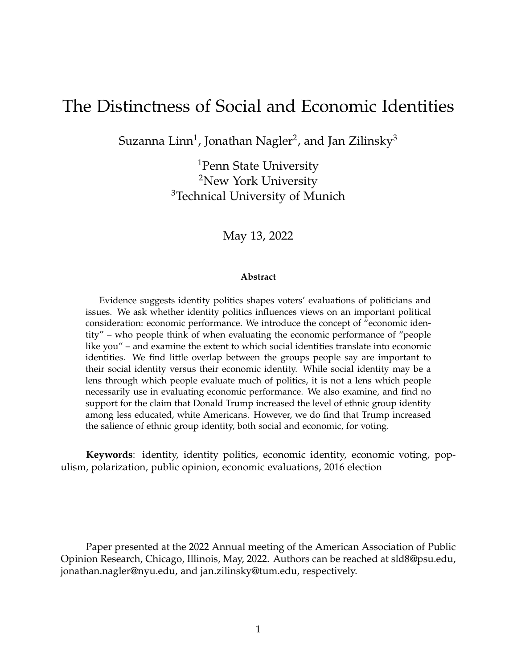# The Distinctness of Social and Economic Identities

Suzanna Linn $^1$ , Jonathan Nagler $^2$ , and Jan Zilinsky $^3$ 

<sup>1</sup>Penn State University <sup>2</sup>New York University <sup>3</sup>Technical University of Munich

May 13, 2022

#### **Abstract**

Evidence suggests identity politics shapes voters' evaluations of politicians and issues. We ask whether identity politics influences views on an important political consideration: economic performance. We introduce the concept of "economic identity" – who people think of when evaluating the economic performance of "people like you" – and examine the extent to which social identities translate into economic identities. We find little overlap between the groups people say are important to their social identity versus their economic identity. While social identity may be a lens through which people evaluate much of politics, it is not a lens which people necessarily use in evaluating economic performance. We also examine, and find no support for the claim that Donald Trump increased the level of ethnic group identity among less educated, white Americans. However, we do find that Trump increased the salience of ethnic group identity, both social and economic, for voting.

**Keywords**: identity, identity politics, economic identity, economic voting, populism, polarization, public opinion, economic evaluations, 2016 election

Paper presented at the 2022 Annual meeting of the American Association of Public Opinion Research, Chicago, Illinois, May, 2022. Authors can be reached at sld8@psu.edu, jonathan.nagler@nyu.edu, and jan.zilinsky@tum.edu, respectively.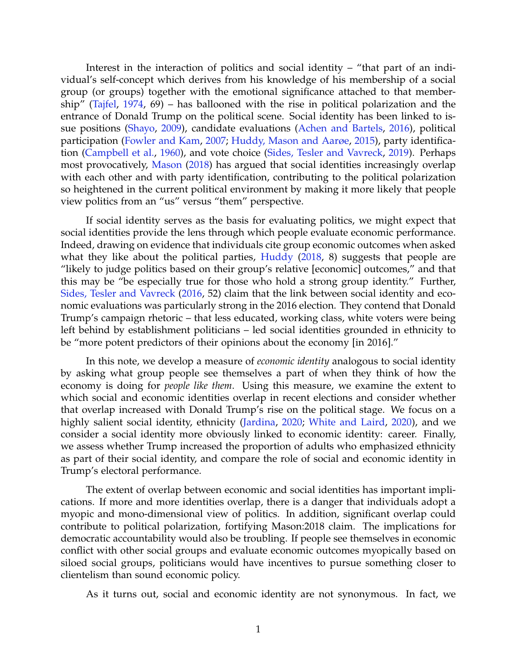Interest in the interaction of politics and social identity – "that part of an individual's self-concept which derives from his knowledge of his membership of a social group (or groups) together with the emotional significance attached to that membership" [\(Tajfel,](#page-12-0) [1974,](#page-12-0) 69) – has ballooned with the rise in political polarization and the entrance of Donald Trump on the political scene. Social identity has been linked to issue positions [\(Shayo,](#page-12-1) [2009\)](#page-12-1), candidate evaluations [\(Achen and Bartels,](#page-12-2) [2016\)](#page-12-2), political participation [\(Fowler and Kam,](#page-12-3) [2007;](#page-12-3) [Huddy, Mason and Aarøe,](#page-12-4) [2015\)](#page-12-4), party identification [\(Campbell et al.,](#page-12-5) [1960\)](#page-12-5), and vote choice [\(Sides, Tesler and Vavreck,](#page-12-6) [2019\)](#page-12-6). Perhaps most provocatively, [Mason](#page-12-7) [\(2018\)](#page-12-7) has argued that social identities increasingly overlap with each other and with party identification, contributing to the political polarization so heightened in the current political environment by making it more likely that people view politics from an "us" versus "them" perspective.

If social identity serves as the basis for evaluating politics, we might expect that social identities provide the lens through which people evaluate economic performance. Indeed, drawing on evidence that individuals cite group economic outcomes when asked what they like about the political parties, [Huddy](#page-12-8) [\(2018,](#page-12-8) 8) suggests that people are "likely to judge politics based on their group's relative [economic] outcomes," and that this may be "be especially true for those who hold a strong group identity." Further, [Sides, Tesler and Vavreck](#page-12-9) [\(2016,](#page-12-9) 52) claim that the link between social identity and economic evaluations was particularly strong in the 2016 election. They contend that Donald Trump's campaign rhetoric – that less educated, working class, white voters were being left behind by establishment politicians – led social identities grounded in ethnicity to be "more potent predictors of their opinions about the economy [in 2016]."

In this note, we develop a measure of *economic identity* analogous to social identity by asking what group people see themselves a part of when they think of how the economy is doing for *people like them*. Using this measure, we examine the extent to which social and economic identities overlap in recent elections and consider whether that overlap increased with Donald Trump's rise on the political stage. We focus on a highly salient social identity, ethnicity [\(Jardina,](#page-12-10) [2020;](#page-12-10) [White and Laird,](#page-12-11) [2020\)](#page-12-11), and we consider a social identity more obviously linked to economic identity: career. Finally, we assess whether Trump increased the proportion of adults who emphasized ethnicity as part of their social identity, and compare the role of social and economic identity in Trump's electoral performance.

The extent of overlap between economic and social identities has important implications. If more and more identities overlap, there is a danger that individuals adopt a myopic and mono-dimensional view of politics. In addition, significant overlap could contribute to political polarization, fortifying Mason:2018 claim. The implications for democratic accountability would also be troubling. If people see themselves in economic conflict with other social groups and evaluate economic outcomes myopically based on siloed social groups, politicians would have incentives to pursue something closer to clientelism than sound economic policy.

As it turns out, social and economic identity are not synonymous. In fact, we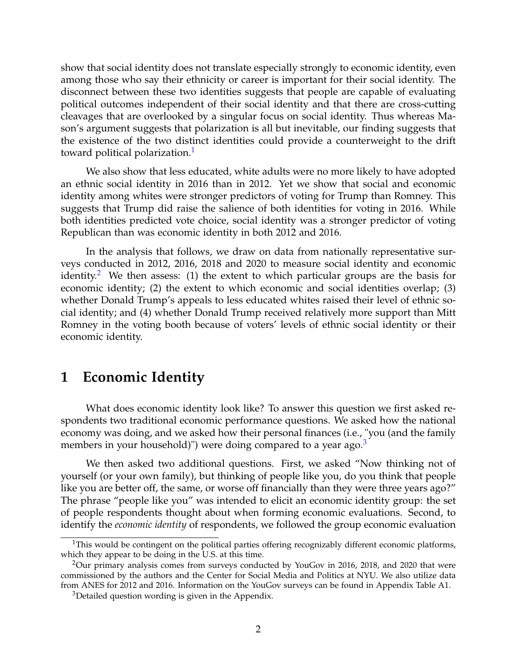show that social identity does not translate especially strongly to economic identity, even among those who say their ethnicity or career is important for their social identity. The disconnect between these two identities suggests that people are capable of evaluating political outcomes independent of their social identity and that there are cross-cutting cleavages that are overlooked by a singular focus on social identity. Thus whereas Mason's argument suggests that polarization is all but inevitable, our finding suggests that the existence of the two distinct identities could provide a counterweight to the drift toward political polarization.<sup>[1](#page-2-0)</sup>

We also show that less educated, white adults were no more likely to have adopted an ethnic social identity in 2016 than in 2012. Yet we show that social and economic identity among whites were stronger predictors of voting for Trump than Romney. This suggests that Trump did raise the salience of both identities for voting in 2016. While both identities predicted vote choice, social identity was a stronger predictor of voting Republican than was economic identity in both 2012 and 2016.

In the analysis that follows, we draw on data from nationally representative surveys conducted in 2012, 2016, 2018 and 2020 to measure social identity and economic identity.<sup>[2](#page-2-1)</sup> We then assess: (1) the extent to which particular groups are the basis for economic identity; (2) the extent to which economic and social identities overlap; (3) whether Donald Trump's appeals to less educated whites raised their level of ethnic social identity; and (4) whether Donald Trump received relatively more support than Mitt Romney in the voting booth because of voters' levels of ethnic social identity or their economic identity.

## **1 Economic Identity**

What does economic identity look like? To answer this question we first asked respondents two traditional economic performance questions. We asked how the national economy was doing, and we asked how their personal finances (i.e., "you (and the family members in your household)") were doing compared to a year ago.<sup>[3](#page-2-2)</sup>

We then asked two additional questions. First, we asked "Now thinking not of yourself (or your own family), but thinking of people like you, do you think that people like you are better off, the same, or worse off financially than they were three years ago?" The phrase "people like you" was intended to elicit an economic identity group: the set of people respondents thought about when forming economic evaluations. Second, to identify the *economic identity* of respondents, we followed the group economic evaluation

<span id="page-2-0"></span><sup>&</sup>lt;sup>1</sup>This would be contingent on the political parties offering recognizably different economic platforms, which they appear to be doing in the U.S. at this time.

<span id="page-2-1"></span><sup>&</sup>lt;sup>2</sup>Our primary analysis comes from surveys conducted by YouGov in 2016, 2018, and 2020 that were commissioned by the authors and the Center for Social Media and Politics at NYU. We also utilize data from ANES for 2012 and 2016. Information on the YouGov surveys can be found in Appendix Table A1.

<span id="page-2-2"></span><sup>&</sup>lt;sup>3</sup>Detailed question wording is given in the Appendix.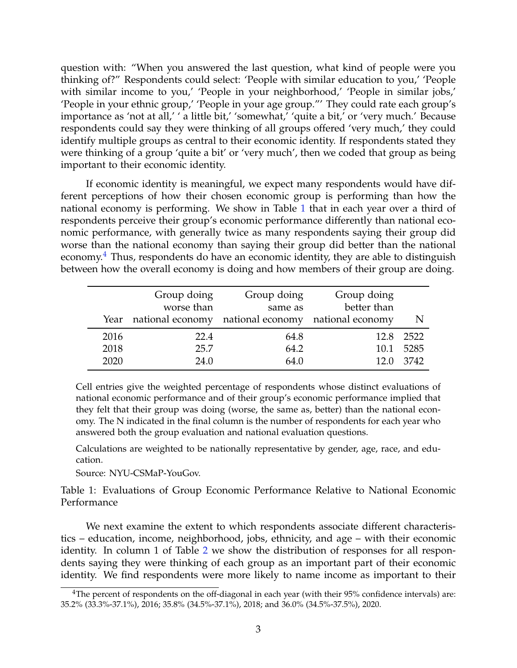question with: "When you answered the last question, what kind of people were you thinking of?" Respondents could select: 'People with similar education to you,' 'People with similar income to you,' 'People in your neighborhood,' 'People in similar jobs,' 'People in your ethnic group,' 'People in your age group."' They could rate each group's importance as 'not at all,' ' a little bit,' 'somewhat,' 'quite a bit,' or 'very much.' Because respondents could say they were thinking of all groups offered 'very much,' they could identify multiple groups as central to their economic identity. If respondents stated they were thinking of a group 'quite a bit' or 'very much', then we coded that group as being important to their economic identity.

If economic identity is meaningful, we expect many respondents would have different perceptions of how their chosen economic group is performing than how the national economy is performing. We show in Table [1](#page-3-0) that in each year over a third of respondents perceive their group's economic performance differently than national economic performance, with generally twice as many respondents saying their group did worse than the national economy than saying their group did better than the national economy. $4$  Thus, respondents do have an economic identity, they are able to distinguish between how the overall economy is doing and how members of their group are doing.

|      | Group doing<br>worse than                               | Group doing<br>same as | Group doing<br>better than |      |
|------|---------------------------------------------------------|------------------------|----------------------------|------|
|      | Year national economy national economy national economy |                        |                            | -N   |
| 2016 | 22.4                                                    | 64.8                   | 12.8                       | 2522 |
| 2018 | 25.7                                                    | 64.2                   | 10.1                       | 5285 |
| 2020 | 24.0                                                    | 64.0                   | 120                        | 3742 |

Cell entries give the weighted percentage of respondents whose distinct evaluations of national economic performance and of their group's economic performance implied that they felt that their group was doing (worse, the same as, better) than the national economy. The N indicated in the final column is the number of respondents for each year who answered both the group evaluation and national evaluation questions.

Calculations are weighted to be nationally representative by gender, age, race, and education.

<span id="page-3-0"></span>Source: NYU-CSMaP-YouGov.

Table 1: Evaluations of Group Economic Performance Relative to National Economic Performance

We next examine the extent to which respondents associate different characteristics – education, income, neighborhood, jobs, ethnicity, and age – with their economic identity. In column 1 of Table [2](#page-5-0) we show the distribution of responses for all respondents saying they were thinking of each group as an important part of their economic identity. We find respondents were more likely to name income as important to their

<span id="page-3-1"></span> $4$ The percent of respondents on the off-diagonal in each year (with their 95% confidence intervals) are: 35.2% (33.3%-37.1%), 2016; 35.8% (34.5%-37.1%), 2018; and 36.0% (34.5%-37.5%), 2020.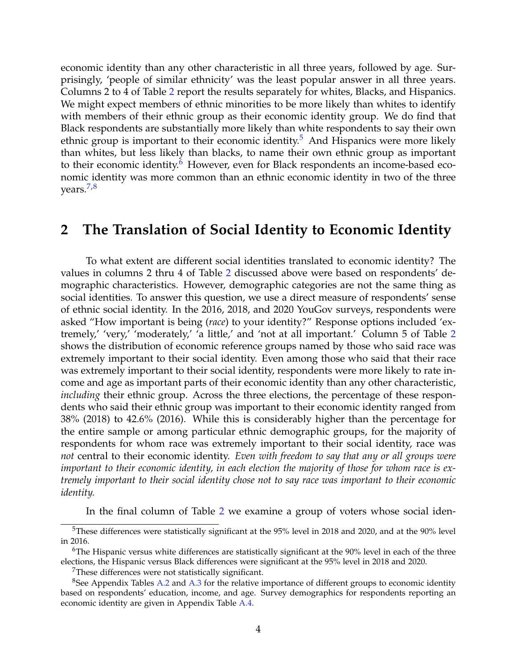economic identity than any other characteristic in all three years, followed by age. Surprisingly, 'people of similar ethnicity' was the least popular answer in all three years. Columns 2 to 4 of Table [2](#page-5-0) report the results separately for whites, Blacks, and Hispanics. We might expect members of ethnic minorities to be more likely than whites to identify with members of their ethnic group as their economic identity group. We do find that Black respondents are substantially more likely than white respondents to say their own ethnic group is important to their economic identity.<sup>[5](#page-4-0)</sup> And Hispanics were more likely than whites, but less likely than blacks, to name their own ethnic group as important to their economic identity.<sup>[6](#page-4-1)</sup> However, even for Black respondents an income-based economic identity was more common than an ethnic economic identity in two of the three years.[7,](#page-4-2)[8](#page-4-3)

### **2 The Translation of Social Identity to Economic Identity**

To what extent are different social identities translated to economic identity? The values in columns 2 thru 4 of Table [2](#page-5-0) discussed above were based on respondents' demographic characteristics. However, demographic categories are not the same thing as social identities. To answer this question, we use a direct measure of respondents' sense of ethnic social identity. In the 2016, 2018, and 2020 YouGov surveys, respondents were asked "How important is being (*race*) to your identity?" Response options included 'extremely,' 'very,' 'moderately,' 'a little,' and 'not at all important.' Column 5 of Table [2](#page-5-0) shows the distribution of economic reference groups named by those who said race was extremely important to their social identity. Even among those who said that their race was extremely important to their social identity, respondents were more likely to rate income and age as important parts of their economic identity than any other characteristic, *including* their ethnic group. Across the three elections, the percentage of these respondents who said their ethnic group was important to their economic identity ranged from 38% (2018) to 42.6% (2016). While this is considerably higher than the percentage for the entire sample or among particular ethnic demographic groups, for the majority of respondents for whom race was extremely important to their social identity, race was *not* central to their economic identity. *Even with freedom to say that any or all groups were important to their economic identity, in each election the majority of those for whom race is extremely important to their social identity chose not to say race was important to their economic identity.*

In the final column of Table [2](#page-5-0) we examine a group of voters whose social iden-

<span id="page-4-0"></span><sup>5</sup>These differences were statistically significant at the 95% level in 2018 and 2020, and at the 90% level in 2016.

<span id="page-4-1"></span><sup>&</sup>lt;sup>6</sup>The Hispanic versus white differences are statistically significant at the 90% level in each of the three elections, the Hispanic versus Black differences were significant at the 95% level in 2018 and 2020.

<span id="page-4-3"></span><span id="page-4-2"></span><sup>&</sup>lt;sup>7</sup>These differences were not statistically significant.

<sup>8</sup>See Appendix Tables [A.2](#page-5-0) and [A.3](#page-7-0) for the relative importance of different groups to economic identity based on respondents' education, income, and age. Survey demographics for respondents reporting an economic identity are given in Appendix Table [A.4.](#page-8-0)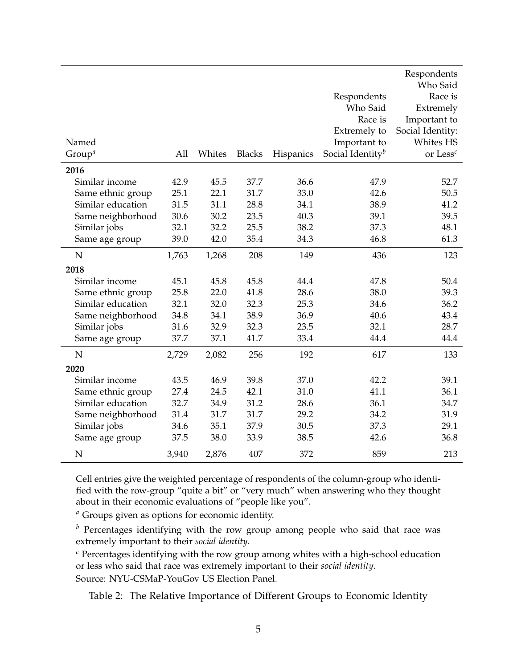|                    |       |        |               |           |                              | Respondents          |
|--------------------|-------|--------|---------------|-----------|------------------------------|----------------------|
|                    |       |        |               |           |                              | Who Said             |
|                    |       |        |               |           | Respondents                  | Race is              |
|                    |       |        |               |           | Who Said                     | Extremely            |
|                    |       |        |               |           | Race is                      | Important to         |
|                    |       |        |               |           | Extremely to                 | Social Identity:     |
| Named              |       |        |               |           | Important to                 | Whites HS            |
| Group <sup>a</sup> | All   | Whites | <b>Blacks</b> | Hispanics | Social Identity <sup>b</sup> | or Less <sup>c</sup> |
| 2016               |       |        |               |           |                              |                      |
| Similar income     | 42.9  | 45.5   | 37.7          | 36.6      | 47.9                         | 52.7                 |
| Same ethnic group  | 25.1  | 22.1   | 31.7          | 33.0      | 42.6                         | 50.5                 |
| Similar education  | 31.5  | 31.1   | 28.8          | 34.1      | 38.9                         | 41.2                 |
| Same neighborhood  | 30.6  | 30.2   | 23.5          | 40.3      | 39.1                         | 39.5                 |
| Similar jobs       | 32.1  | 32.2   | 25.5          | 38.2      | 37.3                         | 48.1                 |
| Same age group     | 39.0  | 42.0   | 35.4          | 34.3      | 46.8                         | 61.3                 |
| N                  | 1,763 | 1,268  | 208           | 149       | 436                          | 123                  |
| 2018               |       |        |               |           |                              |                      |
| Similar income     | 45.1  | 45.8   | 45.8          | 44.4      | 47.8                         | 50.4                 |
| Same ethnic group  | 25.8  | 22.0   | 41.8          | 28.6      | 38.0                         | 39.3                 |
| Similar education  | 32.1  | 32.0   | 32.3          | 25.3      | 34.6                         | 36.2                 |
| Same neighborhood  | 34.8  | 34.1   | 38.9          | 36.9      | 40.6                         | 43.4                 |
| Similar jobs       | 31.6  | 32.9   | 32.3          | 23.5      | 32.1                         | 28.7                 |
| Same age group     | 37.7  | 37.1   | 41.7          | 33.4      | 44.4                         | 44.4                 |
| N                  | 2,729 | 2,082  | 256           | 192       | 617                          | 133                  |
| 2020               |       |        |               |           |                              |                      |
| Similar income     | 43.5  | 46.9   | 39.8          | 37.0      | 42.2                         | 39.1                 |
| Same ethnic group  | 27.4  | 24.5   | 42.1          | 31.0      | 41.1                         | 36.1                 |
| Similar education  | 32.7  | 34.9   | 31.2          | 28.6      | 36.1                         | 34.7                 |
| Same neighborhood  | 31.4  | 31.7   | 31.7          | 29.2      | 34.2                         | 31.9                 |
| Similar jobs       | 34.6  | 35.1   | 37.9          | 30.5      | 37.3                         | 29.1                 |
| Same age group     | 37.5  | 38.0   | 33.9          | 38.5      | 42.6                         | 36.8                 |
| N                  | 3,940 | 2,876  | 407           | 372       | 859                          | 213                  |

Cell entries give the weighted percentage of respondents of the column-group who identified with the row-group "quite a bit" or "very much" when answering who they thought about in their economic evaluations of "people like you".

*<sup>a</sup>* Groups given as options for economic identity.

*b* Percentages identifying with the row group among people who said that race was extremely important to their *social identity*.

*<sup>c</sup>* Percentages identifying with the row group among whites with a high-school education or less who said that race was extremely important to their *social identity*.

Source: NYU-CSMaP-YouGov US Election Panel.

<span id="page-5-0"></span>Table 2: The Relative Importance of Different Groups to Economic Identity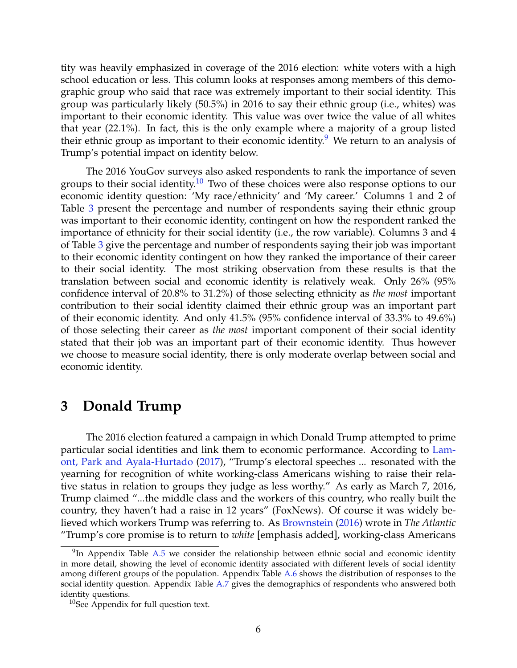tity was heavily emphasized in coverage of the 2016 election: white voters with a high school education or less. This column looks at responses among members of this demographic group who said that race was extremely important to their social identity. This group was particularly likely (50.5%) in 2016 to say their ethnic group (i.e., whites) was important to their economic identity. This value was over twice the value of all whites that year (22.1%). In fact, this is the only example where a majority of a group listed their ethnic group as important to their economic identity.<sup>[9](#page-6-0)</sup> We return to an analysis of Trump's potential impact on identity below.

The 2016 YouGov surveys also asked respondents to rank the importance of seven groups to their social identity.<sup>[10](#page-6-1)</sup> Two of these choices were also response options to our economic identity question: 'My race/ethnicity' and 'My career.' Columns 1 and 2 of Table [3](#page-7-0) present the percentage and number of respondents saying their ethnic group was important to their economic identity, contingent on how the respondent ranked the importance of ethnicity for their social identity (i.e., the row variable). Columns 3 and 4 of Table [3](#page-7-0) give the percentage and number of respondents saying their job was important to their economic identity contingent on how they ranked the importance of their career to their social identity. The most striking observation from these results is that the translation between social and economic identity is relatively weak. Only 26% (95% confidence interval of 20.8% to 31.2%) of those selecting ethnicity as *the most* important contribution to their social identity claimed their ethnic group was an important part of their economic identity. And only 41.5% (95% confidence interval of 33.3% to 49.6%) of those selecting their career as *the most* important component of their social identity stated that their job was an important part of their economic identity. Thus however we choose to measure social identity, there is only moderate overlap between social and economic identity.

# **3 Donald Trump**

The 2016 election featured a campaign in which Donald Trump attempted to prime particular social identities and link them to economic performance. According to [Lam](#page-12-12)[ont, Park and Ayala-Hurtado](#page-12-12) [\(2017\)](#page-12-12), "Trump's electoral speeches ... resonated with the yearning for recognition of white working-class Americans wishing to raise their relative status in relation to groups they judge as less worthy." As early as March 7, 2016, Trump claimed "...the middle class and the workers of this country, who really built the country, they haven't had a raise in 12 years" (FoxNews). Of course it was widely believed which workers Trump was referring to. As [Brownstein](#page-12-13) [\(2016\)](#page-12-13) wrote in *The Atlantic* "Trump's core promise is to return to *white* [emphasis added], working-class Americans

<span id="page-6-0"></span> $9$ In Appendix Table [A.5](#page-9-0) we consider the relationship between ethnic social and economic identity in more detail, showing the level of economic identity associated with different levels of social identity among different groups of the population. Appendix Table [A.6](#page-18-0) shows the distribution of responses to the social identity question. Appendix Table [A.7](#page-19-0) gives the demographics of respondents who answered both identity questions.

<span id="page-6-1"></span><sup>&</sup>lt;sup>10</sup>See Appendix for full question text.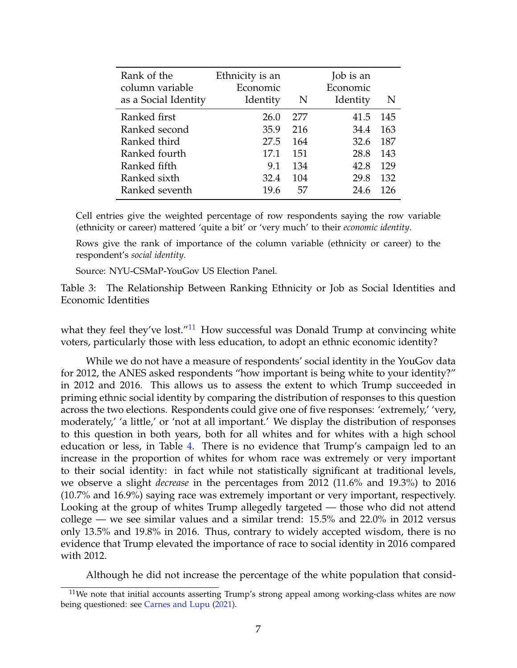| Rank of the<br>column variable<br>as a Social Identity | Ethnicity is an<br>Economic<br>Identity | N   | Job is an<br>Economic<br>Identity | N   |
|--------------------------------------------------------|-----------------------------------------|-----|-----------------------------------|-----|
| Ranked first                                           | 26.0                                    | 277 | 41.5                              | 145 |
| Ranked second                                          | 35.9                                    | 216 | 34.4                              | 163 |
| Ranked third                                           | 27.5                                    | 164 | 32.6                              | 187 |
| Ranked fourth                                          | 17.1                                    | 151 | 28.8                              | 143 |
| Ranked fifth                                           | 9.1                                     | 134 | 42.8                              | 129 |
| Ranked sixth                                           | 32.4                                    | 104 | 29.8                              | 132 |
| Ranked seventh                                         | 19.6                                    | 57  | 24.6                              | 126 |

Cell entries give the weighted percentage of row respondents saying the row variable (ethnicity or career) mattered 'quite a bit' or 'very much' to their *economic identity*.

Rows give the rank of importance of the column variable (ethnicity or career) to the respondent's *social identity*.

<span id="page-7-0"></span>Source: NYU-CSMaP-YouGov US Election Panel.

Table 3: The Relationship Between Ranking Ethnicity or Job as Social Identities and Economic Identities

what they feel they've lost." $11$  How successful was Donald Trump at convincing white voters, particularly those with less education, to adopt an ethnic economic identity?

While we do not have a measure of respondents' social identity in the YouGov data for 2012, the ANES asked respondents "how important is being white to your identity?" in 2012 and 2016. This allows us to assess the extent to which Trump succeeded in priming ethnic social identity by comparing the distribution of responses to this question across the two elections. Respondents could give one of five responses: 'extremely,' 'very, moderately,' 'a little,' or 'not at all important.' We display the distribution of responses to this question in both years, both for all whites and for whites with a high school education or less, in Table [4.](#page-8-0) There is no evidence that Trump's campaign led to an increase in the proportion of whites for whom race was extremely or very important to their social identity: in fact while not statistically significant at traditional levels, we observe a slight *decrease* in the percentages from 2012 (11.6% and 19.3%) to 2016 (10.7% and 16.9%) saying race was extremely important or very important, respectively. Looking at the group of whites Trump allegedly targeted — those who did not attend college — we see similar values and a similar trend: 15.5% and 22.0% in 2012 versus only 13.5% and 19.8% in 2016. Thus, contrary to widely accepted wisdom, there is no evidence that Trump elevated the importance of race to social identity in 2016 compared with 2012.

Although he did not increase the percentage of the white population that consid-

<span id="page-7-1"></span> $11$ We note that initial accounts asserting Trump's strong appeal among working-class whites are now being questioned: see [Carnes and Lupu](#page-12-14) [\(2021\)](#page-12-14).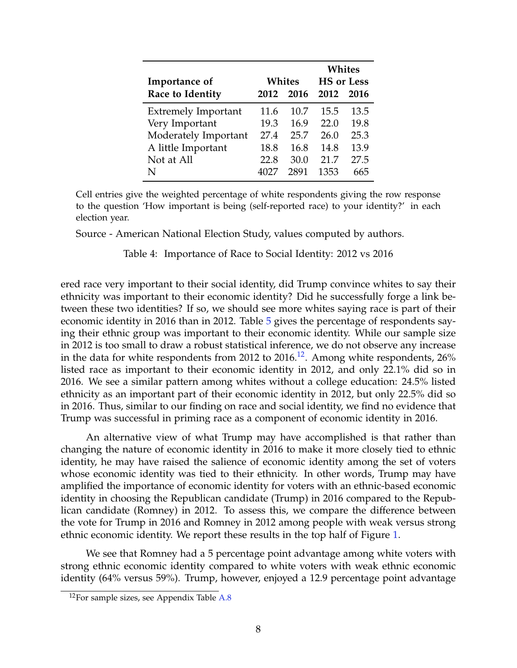|                            |      |        | <b>Whites</b> |                   |
|----------------------------|------|--------|---------------|-------------------|
| Importance of              |      | Whites |               | <b>HS</b> or Less |
| Race to Identity           | 2012 | 2016   | 2012          | 2016              |
| <b>Extremely Important</b> | 11.6 | 10.7   | 15.5          | 13.5              |
| Very Important             | 19.3 | 16.9   | 22.0          | 19.8              |
| Moderately Important       | 27.4 | 25.7   | 26.0          | 25.3              |
| A little Important         | 18.8 | 16.8   | 14.8          | 13.9              |
| Not at All                 | 22.8 | 30.0   | 21.7          | 27.5              |
|                            |      | 2891   | 1353          | 665               |

Cell entries give the weighted percentage of white respondents giving the row response to the question 'How important is being (self-reported race) to your identity?' in each election year.

Source - American National Election Study, values computed by authors.

<span id="page-8-0"></span>Table 4: Importance of Race to Social Identity: 2012 vs 2016

ered race very important to their social identity, did Trump convince whites to say their ethnicity was important to their economic identity? Did he successfully forge a link between these two identities? If so, we should see more whites saying race is part of their economic identity in 2016 than in 2012. Table [5](#page-9-0) gives the percentage of respondents saying their ethnic group was important to their economic identity. While our sample size in 2012 is too small to draw a robust statistical inference, we do not observe any increase in the data for white respondents from 20[12](#page-8-1) to 2016.<sup>12</sup>. Among white respondents,  $26\%$ listed race as important to their economic identity in 2012, and only 22.1% did so in 2016. We see a similar pattern among whites without a college education: 24.5% listed ethnicity as an important part of their economic identity in 2012, but only 22.5% did so in 2016. Thus, similar to our finding on race and social identity, we find no evidence that Trump was successful in priming race as a component of economic identity in 2016.

An alternative view of what Trump may have accomplished is that rather than changing the nature of economic identity in 2016 to make it more closely tied to ethnic identity, he may have raised the salience of economic identity among the set of voters whose economic identity was tied to their ethnicity. In other words, Trump may have amplified the importance of economic identity for voters with an ethnic-based economic identity in choosing the Republican candidate (Trump) in 2016 compared to the Republican candidate (Romney) in 2012. To assess this, we compare the difference between the vote for Trump in 2016 and Romney in 2012 among people with weak versus strong ethnic economic identity. We report these results in the top half of Figure [1.](#page-9-1)

We see that Romney had a 5 percentage point advantage among white voters with strong ethnic economic identity compared to white voters with weak ethnic economic identity (64% versus 59%). Trump, however, enjoyed a 12.9 percentage point advantage

<span id="page-8-1"></span> $12$ For sample sizes, see Appendix Table [A.8](#page-20-0)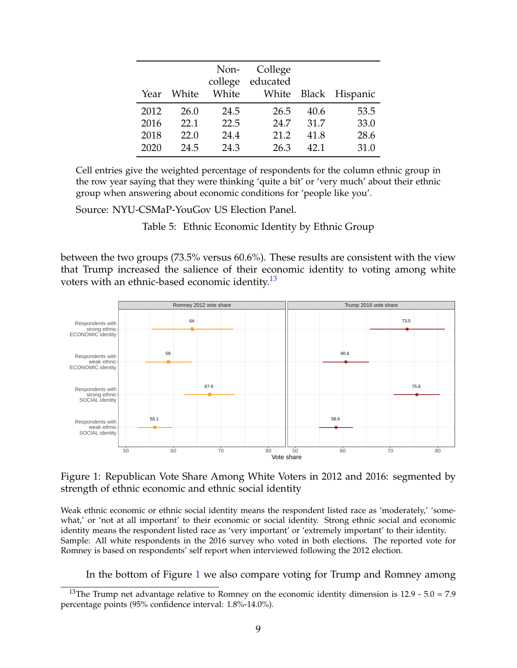| Year | White | college<br>White | Non- College<br>educated |      | White Black Hispanic |
|------|-------|------------------|--------------------------|------|----------------------|
| 2012 | 26.0  | 24.5             | 26.5                     | 40.6 | 53.5                 |
| 2016 | 22.1  | 22.5             | 24.7                     | 31.7 | 33.0                 |
| 2018 | 22.0  | 24.4             | 21.2                     | 41.8 | 28.6                 |
| 2020 | 24.5  | 24.3             | 26.3                     | 42 1 | 31.0                 |

Cell entries give the weighted percentage of respondents for the column ethnic group in the row year saying that they were thinking 'quite a bit' or 'very much' about their ethnic group when answering about economic conditions for 'people like you'.

Source: NYU-CSMaP-YouGov US Election Panel.

<span id="page-9-0"></span>Table 5: Ethnic Economic Identity by Ethnic Group

between the two groups (73.5% versus 60.6%). These results are consistent with the view that Trump increased the salience of their economic identity to voting among white voters with an ethnic-based economic identity.<sup>[13](#page-9-2)</sup>



<span id="page-9-1"></span>Figure 1: Republican Vote Share Among White Voters in 2012 and 2016: segmented by strength of ethnic economic and ethnic social identity

Weak ethnic economic or ethnic social identity means the respondent listed race as 'moderately,' 'somewhat,' or 'not at all important' to their economic or social identity. Strong ethnic social and economic identity means the respondent listed race as 'very important' or 'extremely important' to their identity. Sample: All white respondents in the 2016 survey who voted in both elections. The reported vote for Romney is based on respondents' self report when interviewed following the 2012 election.

In the bottom of Figure [1](#page-9-1) we also compare voting for Trump and Romney among

<span id="page-9-2"></span><sup>&</sup>lt;sup>13</sup>The Trump net advantage relative to Romney on the economic identity dimension is 12.9 - 5.0 = 7.9 percentage points (95% confidence interval: 1.8%-14.0%).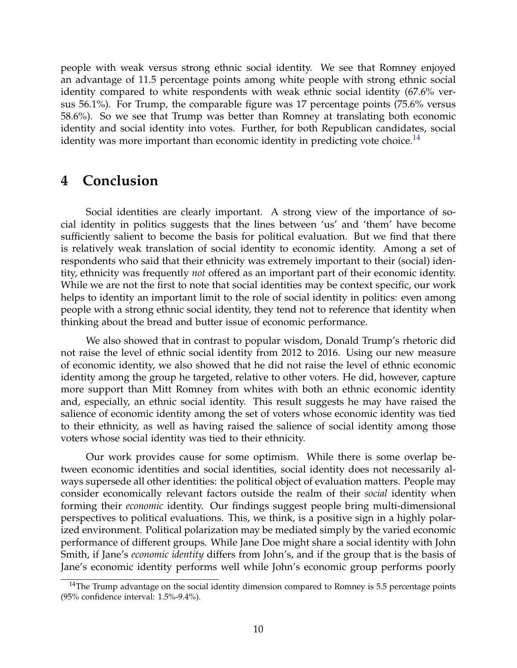people with weak versus strong ethnic social identity. We see that Romney enjoyed an advantage of 11.5 percentage points among white people with strong ethnic social identity compared to white respondents with weak ethnic social identity (67.6% versus 56.1%). For Trump, the comparable figure was 17 percentage points (75.6% versus 58.6%). So we see that Trump was better than Romney at translating both economic identity and social identity into votes. Further, for both Republican candidates, social identity was more important than economic identity in predicting vote choice.<sup>[14](#page-10-0)</sup>

### **4 Conclusion**

Social identities are clearly important. A strong view of the importance of social identity in politics suggests that the lines between 'us' and 'them' have become sufficiently salient to become the basis for political evaluation. But we find that there is relatively weak translation of social identity to economic identity. Among a set of respondents who said that their ethnicity was extremely important to their (social) identity, ethnicity was frequently *not* offered as an important part of their economic identity. While we are not the first to note that social identities may be context specific, our work helps to identity an important limit to the role of social identity in politics: even among people with a strong ethnic social identity, they tend not to reference that identity when thinking about the bread and butter issue of economic performance.

We also showed that in contrast to popular wisdom, Donald Trump's rhetoric did not raise the level of ethnic social identity from 2012 to 2016. Using our new measure of economic identity, we also showed that he did not raise the level of ethnic economic identity among the group he targeted, relative to other voters. He did, however, capture more support than Mitt Romney from whites with both an ethnic economic identity and, especially, an ethnic social identity. This result suggests he may have raised the salience of economic identity among the set of voters whose economic identity was tied to their ethnicity, as well as having raised the salience of social identity among those voters whose social identity was tied to their ethnicity.

Our work provides cause for some optimism. While there is some overlap between economic identities and social identities, social identity does not necessarily always supersede all other identities: the political object of evaluation matters. People may consider economically relevant factors outside the realm of their *social* identity when forming their *economic* identity. Our findings suggest people bring multi-dimensional perspectives to political evaluations. This, we think, is a positive sign in a highly polarized environment. Political polarization may be mediated simply by the varied economic performance of different groups. While Jane Doe might share a social identity with John Smith, if Jane's *economic identity* differs from John's, and if the group that is the basis of Jane's economic identity performs well while John's economic group performs poorly

<span id="page-10-0"></span> $14$ The Trump advantage on the social identity dimension compared to Romney is 5.5 percentage points (95% confidence interval: 1.5%-9.4%).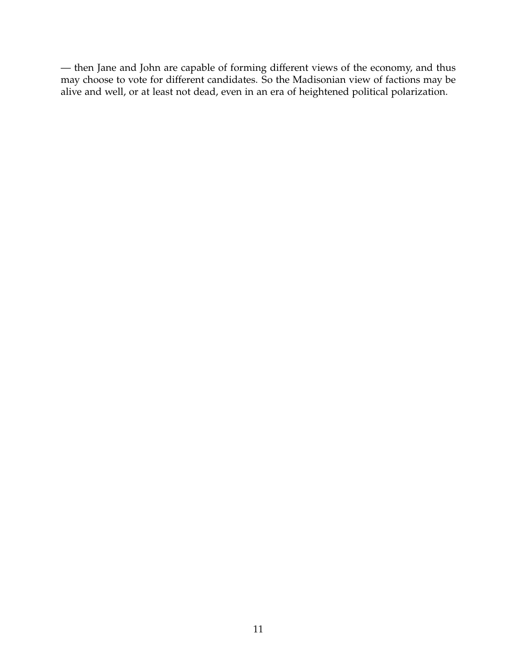— then Jane and John are capable of forming different views of the economy, and thus may choose to vote for different candidates. So the Madisonian view of factions may be alive and well, or at least not dead, even in an era of heightened political polarization.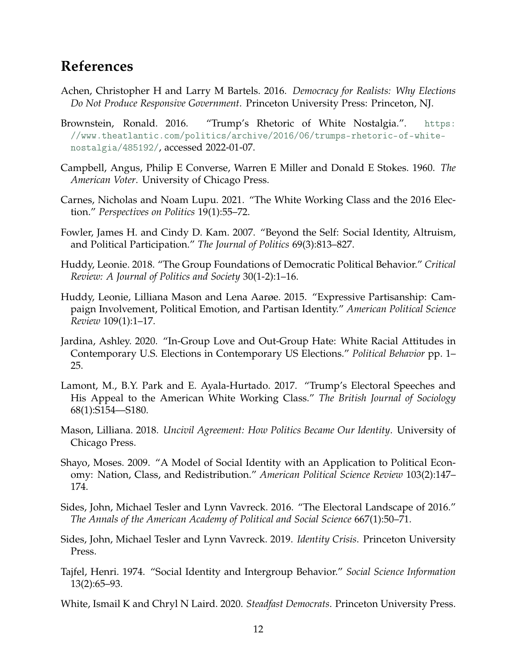## **References**

- <span id="page-12-2"></span>Achen, Christopher H and Larry M Bartels. 2016. *Democracy for Realists: Why Elections Do Not Produce Responsive Government*. Princeton University Press: Princeton, NJ.
- <span id="page-12-13"></span>Brownstein, Ronald. 2016. "Trump's Rhetoric of White Nostalgia.". [https:](https://www.theatlantic.com/politics/archive/2016/06/trumps-rhetoric-of-white-nostalgia/485192/) [//www.theatlantic.com/politics/archive/2016/06/trumps-rhetoric-of-white](https://www.theatlantic.com/politics/archive/2016/06/trumps-rhetoric-of-white-nostalgia/485192/)[nostalgia/485192/](https://www.theatlantic.com/politics/archive/2016/06/trumps-rhetoric-of-white-nostalgia/485192/), accessed 2022-01-07.
- <span id="page-12-5"></span>Campbell, Angus, Philip E Converse, Warren E Miller and Donald E Stokes. 1960. *The American Voter*. University of Chicago Press.
- <span id="page-12-14"></span>Carnes, Nicholas and Noam Lupu. 2021. "The White Working Class and the 2016 Election." *Perspectives on Politics* 19(1):55–72.
- <span id="page-12-3"></span>Fowler, James H. and Cindy D. Kam. 2007. "Beyond the Self: Social Identity, Altruism, and Political Participation." *The Journal of Politics* 69(3):813–827.
- <span id="page-12-8"></span>Huddy, Leonie. 2018. "The Group Foundations of Democratic Political Behavior." *Critical Review: A Journal of Politics and Society* 30(1-2):1–16.
- <span id="page-12-4"></span>Huddy, Leonie, Lilliana Mason and Lena Aarøe. 2015. "Expressive Partisanship: Campaign Involvement, Political Emotion, and Partisan Identity." *American Political Science Review* 109(1):1–17.
- <span id="page-12-10"></span>Jardina, Ashley. 2020. "In-Group Love and Out-Group Hate: White Racial Attitudes in Contemporary U.S. Elections in Contemporary US Elections." *Political Behavior* pp. 1– 25.
- <span id="page-12-12"></span>Lamont, M., B.Y. Park and E. Ayala-Hurtado. 2017. "Trump's Electoral Speeches and His Appeal to the American White Working Class." *The British Journal of Sociology* 68(1):S154––S180.
- <span id="page-12-7"></span>Mason, Lilliana. 2018. *Uncivil Agreement: How Politics Became Our Identity*. University of Chicago Press.
- <span id="page-12-1"></span>Shayo, Moses. 2009. "A Model of Social Identity with an Application to Political Economy: Nation, Class, and Redistribution." *American Political Science Review* 103(2):147– 174.
- <span id="page-12-9"></span>Sides, John, Michael Tesler and Lynn Vavreck. 2016. "The Electoral Landscape of 2016." *The Annals of the American Academy of Political and Social Science* 667(1):50–71.
- <span id="page-12-6"></span>Sides, John, Michael Tesler and Lynn Vavreck. 2019. *Identity Crisis*. Princeton University Press.
- <span id="page-12-0"></span>Tajfel, Henri. 1974. "Social Identity and Intergroup Behavior." *Social Science Information* 13(2):65–93.

<span id="page-12-11"></span>White, Ismail K and Chryl N Laird. 2020. *Steadfast Democrats*. Princeton University Press.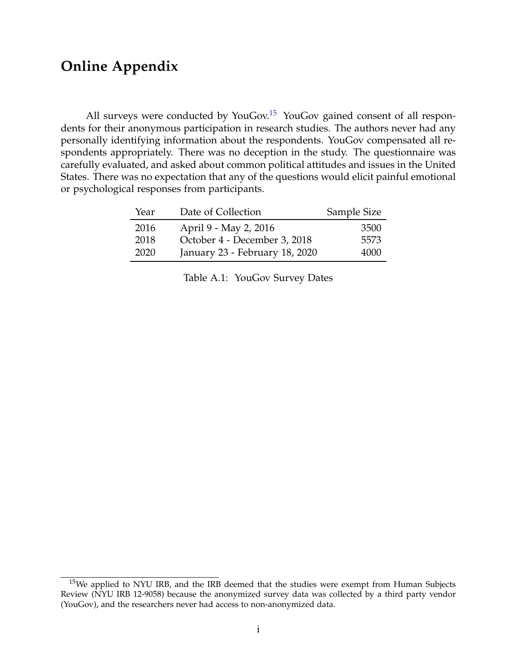## **Online Appendix**

All surveys were conducted by YouGov.<sup>[15](#page-13-0)</sup> YouGov gained consent of all respondents for their anonymous participation in research studies. The authors never had any personally identifying information about the respondents. YouGov compensated all respondents appropriately. There was no deception in the study. The questionnaire was carefully evaluated, and asked about common political attitudes and issues in the United States. There was no expectation that any of the questions would elicit painful emotional or psychological responses from participants.

| Year | Date of Collection             | Sample Size |
|------|--------------------------------|-------------|
| 2016 | April 9 - May 2, 2016          | 3500        |
| 2018 | October 4 - December 3, 2018   | 5573        |
| 2020 | January 23 - February 18, 2020 | 4000        |

Table A.1: YouGov Survey Dates

<span id="page-13-0"></span> $15$ We applied to NYU IRB, and the IRB deemed that the studies were exempt from Human Subjects Review (NYU IRB 12-9058) because the anonymized survey data was collected by a third party vendor (YouGov), and the researchers never had access to non-anonymized data.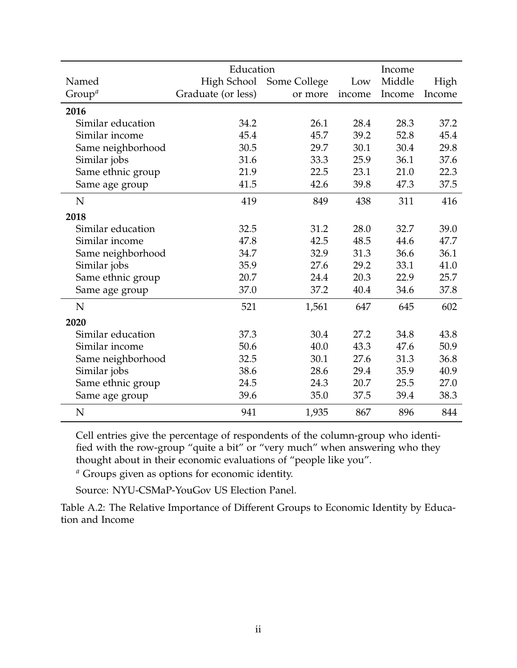|                    | Education          |                          |        | Income |        |
|--------------------|--------------------|--------------------------|--------|--------|--------|
| Named              |                    | High School Some College | Low    | Middle | High   |
| Group <sup>a</sup> | Graduate (or less) | or more                  | income | Income | Income |
| 2016               |                    |                          |        |        |        |
| Similar education  | 34.2               | 26.1                     | 28.4   | 28.3   | 37.2   |
| Similar income     | 45.4               | 45.7                     | 39.2   | 52.8   | 45.4   |
| Same neighborhood  | 30.5               | 29.7                     | 30.1   | 30.4   | 29.8   |
| Similar jobs       | 31.6               | 33.3                     | 25.9   | 36.1   | 37.6   |
| Same ethnic group  | 21.9               | 22.5                     | 23.1   | 21.0   | 22.3   |
| Same age group     | 41.5               | 42.6                     | 39.8   | 47.3   | 37.5   |
| N                  | 419                | 849                      | 438    | 311    | 416    |
| 2018               |                    |                          |        |        |        |
| Similar education  | 32.5               | 31.2                     | 28.0   | 32.7   | 39.0   |
| Similar income     | 47.8               | 42.5                     | 48.5   | 44.6   | 47.7   |
| Same neighborhood  | 34.7               | 32.9                     | 31.3   | 36.6   | 36.1   |
| Similar jobs       | 35.9               | 27.6                     | 29.2   | 33.1   | 41.0   |
| Same ethnic group  | 20.7               | 24.4                     | 20.3   | 22.9   | 25.7   |
| Same age group     | 37.0               | 37.2                     | 40.4   | 34.6   | 37.8   |
| N                  | 521                | 1,561                    | 647    | 645    | 602    |
| 2020               |                    |                          |        |        |        |
| Similar education  | 37.3               | 30.4                     | 27.2   | 34.8   | 43.8   |
| Similar income     | 50.6               | 40.0                     | 43.3   | 47.6   | 50.9   |
| Same neighborhood  | 32.5               | 30.1                     | 27.6   | 31.3   | 36.8   |
| Similar jobs       | 38.6               | 28.6                     | 29.4   | 35.9   | 40.9   |
| Same ethnic group  | 24.5               | 24.3                     | 20.7   | 25.5   | 27.0   |
| Same age group     | 39.6               | 35.0                     | 37.5   | 39.4   | 38.3   |
| N                  | 941                | 1,935                    | 867    | 896    | 844    |

Cell entries give the percentage of respondents of the column-group who identified with the row-group "quite a bit" or "very much" when answering who they thought about in their economic evaluations of "people like you".

*<sup>a</sup>* Groups given as options for economic identity.

Source: NYU-CSMaP-YouGov US Election Panel.

Table A.2: The Relative Importance of Different Groups to Economic Identity by Education and Income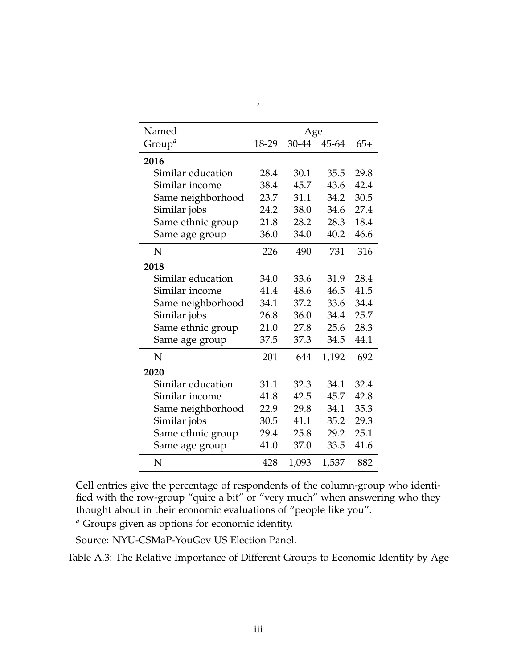| Named              |       | Age   |       |       |
|--------------------|-------|-------|-------|-------|
| Group <sup>a</sup> | 18-29 | 30-44 | 45-64 | $65+$ |
| 2016               |       |       |       |       |
| Similar education  | 28.4  | 30.1  | 35.5  | 29.8  |
| Similar income     | 38.4  | 45.7  | 43.6  | 42.4  |
| Same neighborhood  | 23.7  | 31.1  | 34.2  | 30.5  |
| Similar jobs       | 24.2  | 38.0  | 34.6  | 27.4  |
| Same ethnic group  | 21.8  | 28.2  | 28.3  | 18.4  |
| Same age group     | 36.0  | 34.0  | 40.2  | 46.6  |
| N                  | 226   | 490   | 731   | 316   |
| 2018               |       |       |       |       |
| Similar education  | 34.0  | 33.6  | 31.9  | 28.4  |
| Similar income     | 41.4  | 48.6  | 46.5  | 41.5  |
| Same neighborhood  | 34.1  | 37.2  | 33.6  | 34.4  |
| Similar jobs       | 26.8  | 36.0  | 34.4  | 25.7  |
| Same ethnic group  | 21.0  | 27.8  | 25.6  | 28.3  |
| Same age group     | 37.5  | 37.3  | 34.5  | 44.1  |
| N                  | 201   | 644   | 1,192 | 692   |
| 2020               |       |       |       |       |
| Similar education  | 31.1  | 32.3  | 34.1  | 32.4  |
| Similar income     | 41.8  | 42.5  | 45.7  | 42.8  |
| Same neighborhood  | 22.9  | 29.8  | 34.1  | 35.3  |
| Similar jobs       | 30.5  | 41.1  | 35.2  | 29.3  |
| Same ethnic group  | 29.4  | 25.8  | 29.2  | 25.1  |
| Same age group     | 41.0  | 37.0  | 33.5  | 41.6  |
| N                  | 428   | 1,093 | 1,537 | 882   |

 $\pmb{\prime}$ 

Cell entries give the percentage of respondents of the column-group who identified with the row-group "quite a bit" or "very much" when answering who they thought about in their economic evaluations of "people like you".

*<sup>a</sup>* Groups given as options for economic identity.

Source: NYU-CSMaP-YouGov US Election Panel.

Table A.3: The Relative Importance of Different Groups to Economic Identity by Age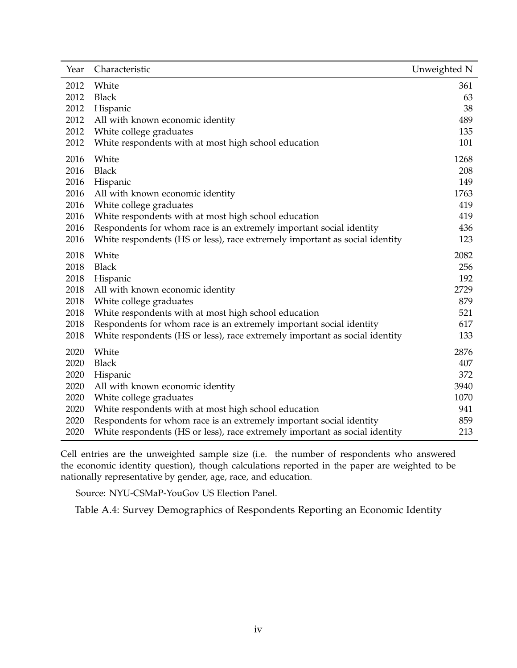| Year | Characteristic                                                              | Unweighted N |
|------|-----------------------------------------------------------------------------|--------------|
| 2012 | White                                                                       | 361          |
| 2012 | <b>Black</b>                                                                | 63           |
| 2012 | Hispanic                                                                    | 38           |
| 2012 | All with known economic identity                                            | 489          |
| 2012 | White college graduates                                                     | 135          |
| 2012 | White respondents with at most high school education                        | 101          |
| 2016 | White                                                                       | 1268         |
| 2016 | <b>Black</b>                                                                | 208          |
| 2016 | Hispanic                                                                    | 149          |
| 2016 | All with known economic identity                                            | 1763         |
| 2016 | White college graduates                                                     | 419          |
| 2016 | White respondents with at most high school education                        | 419          |
| 2016 | Respondents for whom race is an extremely important social identity         | 436          |
| 2016 | White respondents (HS or less), race extremely important as social identity | 123          |
| 2018 | White                                                                       | 2082         |
| 2018 | <b>Black</b>                                                                | 256          |
| 2018 | Hispanic                                                                    | 192          |
| 2018 | All with known economic identity                                            | 2729         |
| 2018 | White college graduates                                                     | 879          |
| 2018 | White respondents with at most high school education                        | 521          |
| 2018 | Respondents for whom race is an extremely important social identity         | 617          |
| 2018 | White respondents (HS or less), race extremely important as social identity | 133          |
| 2020 | White                                                                       | 2876         |
| 2020 | <b>Black</b>                                                                | 407          |
| 2020 | Hispanic                                                                    | 372          |
| 2020 | All with known economic identity                                            | 3940         |
| 2020 | White college graduates                                                     | 1070         |
| 2020 | White respondents with at most high school education                        | 941          |
| 2020 | Respondents for whom race is an extremely important social identity         | 859          |
| 2020 | White respondents (HS or less), race extremely important as social identity | 213          |

Cell entries are the unweighted sample size (i.e. the number of respondents who answered the economic identity question), though calculations reported in the paper are weighted to be nationally representative by gender, age, race, and education.

Source: NYU-CSMaP-YouGov US Election Panel.

Table A.4: Survey Demographics of Respondents Reporting an Economic Identity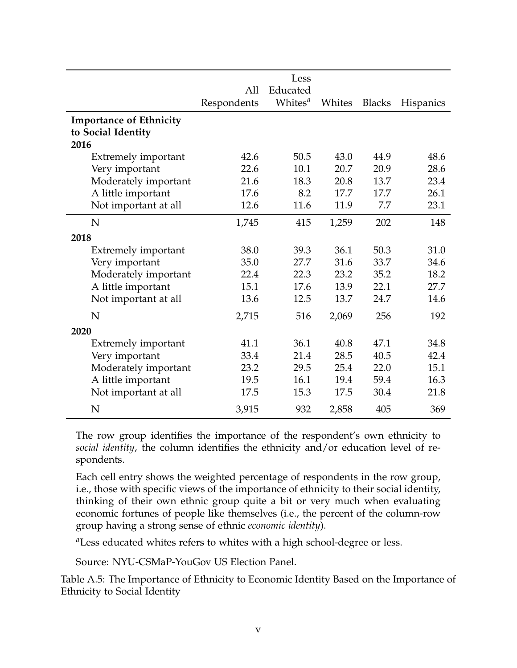|                                | All         | Less<br>Educated    |        |               |                  |
|--------------------------------|-------------|---------------------|--------|---------------|------------------|
|                                | Respondents | Whites <sup>a</sup> | Whites | <b>Blacks</b> | <b>Hispanics</b> |
| <b>Importance of Ethnicity</b> |             |                     |        |               |                  |
| to Social Identity             |             |                     |        |               |                  |
| 2016                           |             |                     |        |               |                  |
| Extremely important            | 42.6        | 50.5                | 43.0   | 44.9          | 48.6             |
| Very important                 | 22.6        | 10.1                | 20.7   | 20.9          | 28.6             |
| Moderately important           | 21.6        | 18.3                | 20.8   | 13.7          | 23.4             |
| A little important             | 17.6        | 8.2                 | 17.7   | 17.7          | 26.1             |
| Not important at all           | 12.6        | 11.6                | 11.9   | 7.7           | 23.1             |
| N                              | 1,745       | 415                 | 1,259  | 202           | 148              |
| 2018                           |             |                     |        |               |                  |
| Extremely important            | 38.0        | 39.3                | 36.1   | 50.3          | 31.0             |
| Very important                 | 35.0        | 27.7                | 31.6   | 33.7          | 34.6             |
| Moderately important           | 22.4        | 22.3                | 23.2   | 35.2          | 18.2             |
| A little important             | 15.1        | 17.6                | 13.9   | 22.1          | 27.7             |
| Not important at all           | 13.6        | 12.5                | 13.7   | 24.7          | 14.6             |
| N                              | 2,715       | 516                 | 2,069  | 256           | 192              |
| 2020                           |             |                     |        |               |                  |
| Extremely important            | 41.1        | 36.1                | 40.8   | 47.1          | 34.8             |
| Very important                 | 33.4        | 21.4                | 28.5   | 40.5          | 42.4             |
| Moderately important           | 23.2        | 29.5                | 25.4   | 22.0          | 15.1             |
| A little important             | 19.5        | 16.1                | 19.4   | 59.4          | 16.3             |
| Not important at all           | 17.5        | 15.3                | 17.5   | 30.4          | 21.8             |
| N                              | 3,915       | 932                 | 2,858  | 405           | 369              |

The row group identifies the importance of the respondent's own ethnicity to *social identity*, the column identifies the ethnicity and/or education level of respondents.

Each cell entry shows the weighted percentage of respondents in the row group, i.e., those with specific views of the importance of ethnicity to their social identity, thinking of their own ethnic group quite a bit or very much when evaluating economic fortunes of people like themselves (i.e., the percent of the column-row group having a strong sense of ethnic *economic identity*).

*<sup>a</sup>*Less educated whites refers to whites with a high school-degree or less.

Source: NYU-CSMaP-YouGov US Election Panel.

Table A.5: The Importance of Ethnicity to Economic Identity Based on the Importance of Ethnicity to Social Identity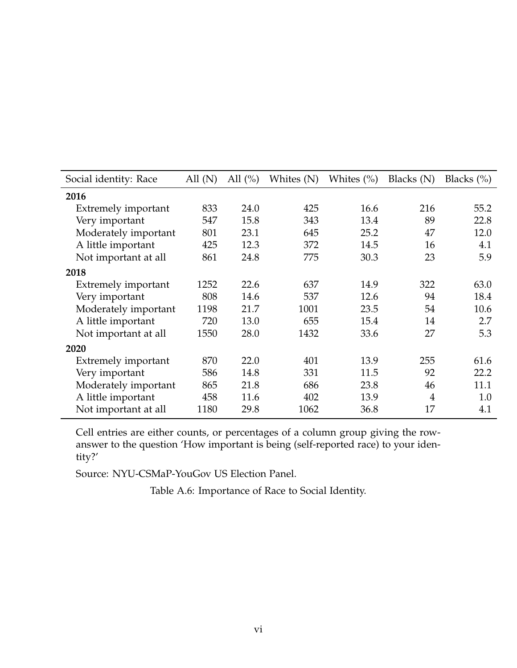| Social identity: Race      | All $(N)$ | All $(\% )$ | Whites (N) | Whites $(\%)$ | Blacks $(N)$   | Blacks $(\% )$ |
|----------------------------|-----------|-------------|------------|---------------|----------------|----------------|
| 2016                       |           |             |            |               |                |                |
| Extremely important        | 833       | 24.0        | 425        | 16.6          | 216            | 55.2           |
| Very important             | 547       | 15.8        | 343        | 13.4          | 89             | 22.8           |
| Moderately important       | 801       | 23.1        | 645        | 25.2          | 47             | 12.0           |
| A little important         | 425       | 12.3        | 372        | 14.5          | 16             | 4.1            |
| Not important at all       | 861       | 24.8        | 775        | 30.3          | 23             | 5.9            |
| 2018                       |           |             |            |               |                |                |
| <b>Extremely important</b> | 1252      | 22.6        | 637        | 14.9          | 322            | 63.0           |
| Very important             | 808       | 14.6        | 537        | 12.6          | 94             | 18.4           |
| Moderately important       | 1198      | 21.7        | 1001       | 23.5          | 54             | 10.6           |
| A little important         | 720       | 13.0        | 655        | 15.4          | 14             | 2.7            |
| Not important at all       | 1550      | 28.0        | 1432       | 33.6          | 27             | 5.3            |
| 2020                       |           |             |            |               |                |                |
| Extremely important        | 870       | 22.0        | 401        | 13.9          | 255            | 61.6           |
| Very important             | 586       | 14.8        | 331        | 11.5          | 92             | 22.2           |
| Moderately important       | 865       | 21.8        | 686        | 23.8          | 46             | 11.1           |
| A little important         | 458       | 11.6        | 402        | 13.9          | $\overline{4}$ | 1.0            |
| Not important at all       | 1180      | 29.8        | 1062       | 36.8          | 17             | 4.1            |

Cell entries are either counts, or percentages of a column group giving the rowanswer to the question 'How important is being (self-reported race) to your identity?'

Source: NYU-CSMaP-YouGov US Election Panel.

<span id="page-18-0"></span>Table A.6: Importance of Race to Social Identity.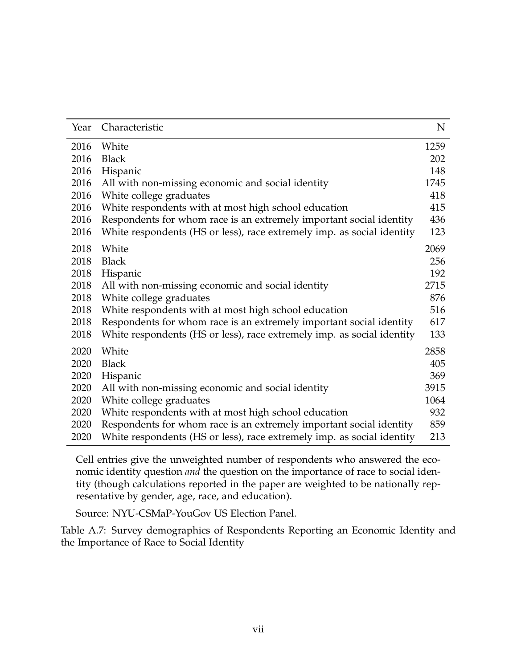| Year | Characteristic                                                         | N    |
|------|------------------------------------------------------------------------|------|
| 2016 | White                                                                  | 1259 |
| 2016 | <b>Black</b>                                                           | 202  |
| 2016 | Hispanic                                                               | 148  |
| 2016 | All with non-missing economic and social identity                      | 1745 |
| 2016 | White college graduates                                                | 418  |
| 2016 | White respondents with at most high school education                   | 415  |
| 2016 | Respondents for whom race is an extremely important social identity    | 436  |
| 2016 | White respondents (HS or less), race extremely imp. as social identity | 123  |
| 2018 | White                                                                  | 2069 |
| 2018 | <b>Black</b>                                                           | 256  |
| 2018 | Hispanic                                                               | 192  |
| 2018 | All with non-missing economic and social identity                      | 2715 |
| 2018 | White college graduates                                                | 876  |
| 2018 | White respondents with at most high school education                   | 516  |
| 2018 | Respondents for whom race is an extremely important social identity    | 617  |
| 2018 | White respondents (HS or less), race extremely imp. as social identity | 133  |
| 2020 | White                                                                  | 2858 |
| 2020 | <b>Black</b>                                                           | 405  |
| 2020 | Hispanic                                                               | 369  |
| 2020 | All with non-missing economic and social identity                      | 3915 |
| 2020 | White college graduates                                                | 1064 |
| 2020 | White respondents with at most high school education                   | 932  |
| 2020 | Respondents for whom race is an extremely important social identity    | 859  |
| 2020 | White respondents (HS or less), race extremely imp. as social identity | 213  |

Cell entries give the unweighted number of respondents who answered the economic identity question *and* the question on the importance of race to social identity (though calculations reported in the paper are weighted to be nationally representative by gender, age, race, and education).

<span id="page-19-0"></span>Source: NYU-CSMaP-YouGov US Election Panel.

Table A.7: Survey demographics of Respondents Reporting an Economic Identity and the Importance of Race to Social Identity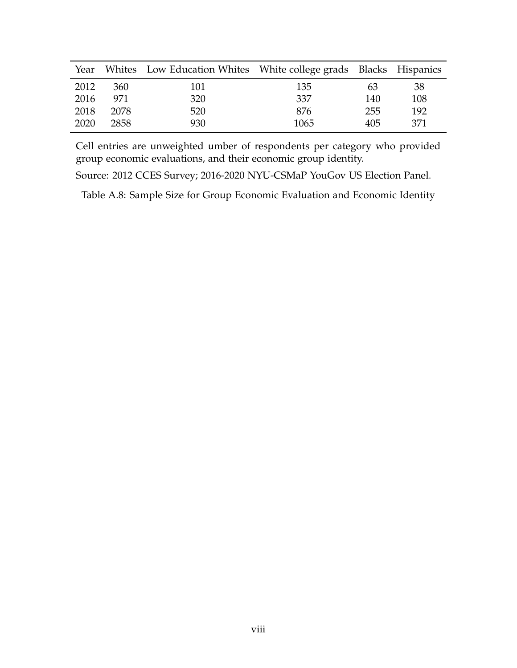|      |      | Year Whites Low Education Whites White college grads Blacks Hispanics |      |     |     |
|------|------|-----------------------------------------------------------------------|------|-----|-----|
| 2012 | 360  | 101                                                                   | 135  | 63  | 38  |
| 2016 | 971  | 320                                                                   | 337  | 140 | 108 |
| 2018 | 2078 | 520                                                                   | 876  | 255 | 192 |
| 2020 | 2858 | 930                                                                   | 1065 | 405 | 371 |

Cell entries are unweighted umber of respondents per category who provided group economic evaluations, and their economic group identity.

Source: 2012 CCES Survey; 2016-2020 NYU-CSMaP YouGov US Election Panel.

<span id="page-20-0"></span>Table A.8: Sample Size for Group Economic Evaluation and Economic Identity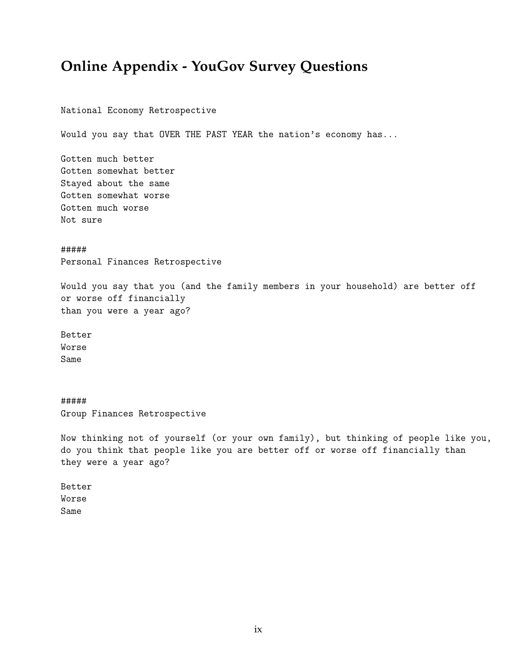## **Online Appendix - YouGov Survey Questions**

National Economy Retrospective

Would you say that OVER THE PAST YEAR the nation's economy has...

Gotten much better Gotten somewhat better Stayed about the same Gotten somewhat worse Gotten much worse Not sure

#### #####

Personal Finances Retrospective

Would you say that you (and the family members in your household) are better off or worse off financially than you were a year ago?

Better Worse Same

##### Group Finances Retrospective

Now thinking not of yourself (or your own family), but thinking of people like you, do you think that people like you are better off or worse off financially than they were a year ago?

Better Worse Same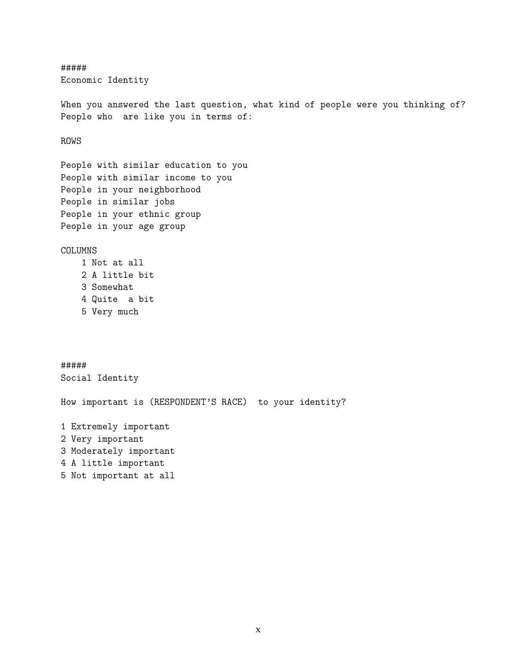##### Economic Identity

When you answered the last question, what kind of people were you thinking of? People who are like you in terms of:

ROWS

People with similar education to you People with similar income to you People in your neighborhood People in similar jobs People in your ethnic group People in your age group

COLUMNS

1 Not at all 2 A little bit 3 Somewhat 4 Quite a bit 5 Very much

##### Social Identity How important is (RESPONDENT'S RACE) to your identity? 1 Extremely important 2 Very important 3 Moderately important 4 A little important 5 Not important at all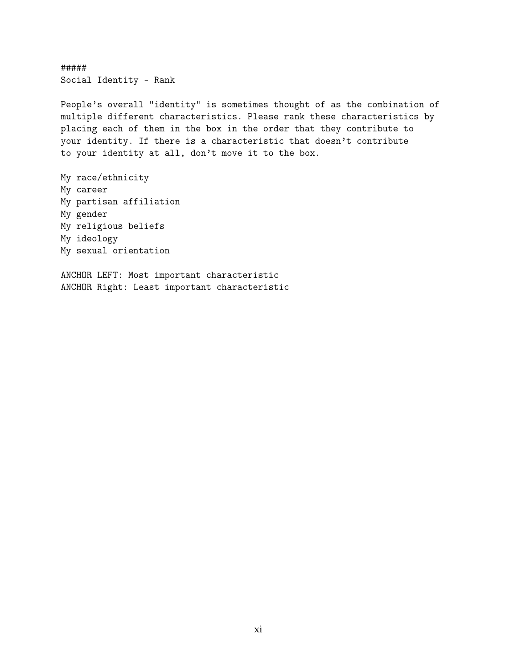##### Social Identity - Rank

People's overall "identity" is sometimes thought of as the combination of multiple different characteristics. Please rank these characteristics by placing each of them in the box in the order that they contribute to your identity. If there is a characteristic that doesn't contribute to your identity at all, don't move it to the box.

My race/ethnicity My career My partisan affiliation My gender My religious beliefs My ideology My sexual orientation

ANCHOR LEFT: Most important characteristic ANCHOR Right: Least important characteristic